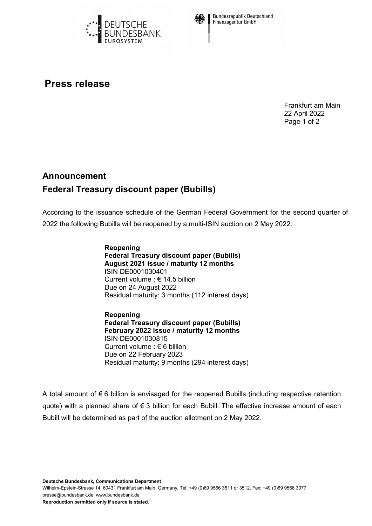



**Bundesrepublik Deutschland** Finanzagentur GmbH

## **Press release**

Frankfurt am Main 22 April 2022 Page 1 of 2

## **Announcement Federal Treasury discount paper (Bubills)**

According to the issuance schedule of the German Federal Government for the second quarter of 2022 the following Bubills will be reopened by a multi-ISIN auction on 2 May 2022:

> **Reopening Federal Treasury discount paper (Bubills) August 2021 issue / maturity 12 months** ISIN DE0001030401 Current volume : € 14.5 billion Due on 24 August 2022 Residual maturity: 3 months (112 interest days)

> **Reopening Federal Treasury discount paper (Bubills) February 2022 issue / maturity 12 months** ISIN DE0001030815 Current volume : € 6 billion Due on 22 February 2023 Residual maturity: 9 months (294 interest days)

A total amount of € 6 billion is envisaged for the reopened Bubills (including respective retention quote) with a planned share of € 3 billion for each Bubill. The effective increase amount of each Bubill will be determined as part of the auction allotment on 2 May 2022.